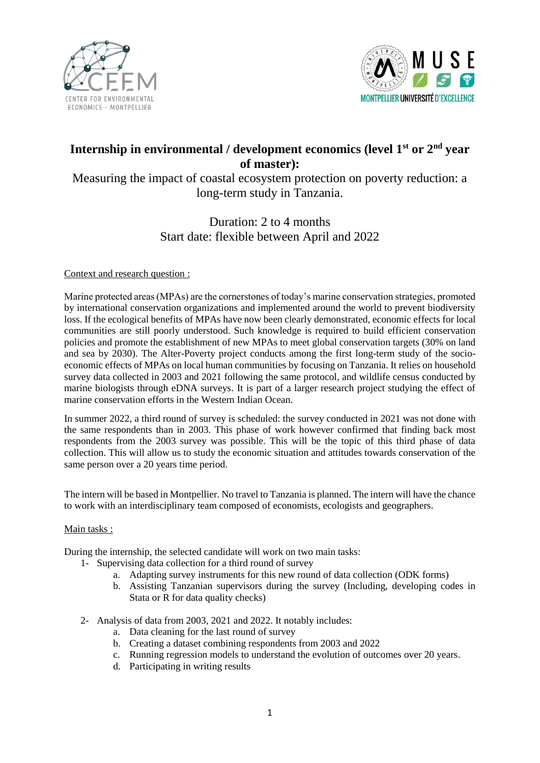



# **Internship in environmental / development economics (level 1st or 2nd year of master):**

Measuring the impact of coastal ecosystem protection on poverty reduction: a long-term study in Tanzania.

## Duration: 2 to 4 months Start date: flexible between April and 2022

### Context and research question :

Marine protected areas (MPAs) are the cornerstones of today's marine conservation strategies, promoted by international conservation organizations and implemented around the world to prevent biodiversity loss. If the ecological benefits of MPAs have now been clearly demonstrated, economic effects for local communities are still poorly understood. Such knowledge is required to build efficient conservation policies and promote the establishment of new MPAs to meet global conservation targets (30% on land and sea by 2030). The Alter-Poverty project conducts among the first long-term study of the socioeconomic effects of MPAs on local human communities by focusing on Tanzania. It relies on household survey data collected in 2003 and 2021 following the same protocol, and wildlife census conducted by marine biologists through eDNA surveys. It is part of a larger research project studying the effect of marine conservation efforts in the Western Indian Ocean.

In summer 2022, a third round of survey is scheduled: the survey conducted in 2021 was not done with the same respondents than in 2003. This phase of work however confirmed that finding back most respondents from the 2003 survey was possible. This will be the topic of this third phase of data collection. This will allow us to study the economic situation and attitudes towards conservation of the same person over a 20 years time period.

The intern will be based in Montpellier. No travel to Tanzania is planned. The intern will have the chance to work with an interdisciplinary team composed of economists, ecologists and geographers.

### Main tasks :

During the internship, the selected candidate will work on two main tasks:

- 1- Supervising data collection for a third round of survey
	- a. Adapting survey instruments for this new round of data collection (ODK forms)
	- b. Assisting Tanzanian supervisors during the survey (Including, developing codes in Stata or R for data quality checks)
- 2- Analysis of data from 2003, 2021 and 2022. It notably includes:
	- a. Data cleaning for the last round of survey
	- b. Creating a dataset combining respondents from 2003 and 2022
	- c. Running regression models to understand the evolution of outcomes over 20 years.
	- d. Participating in writing results